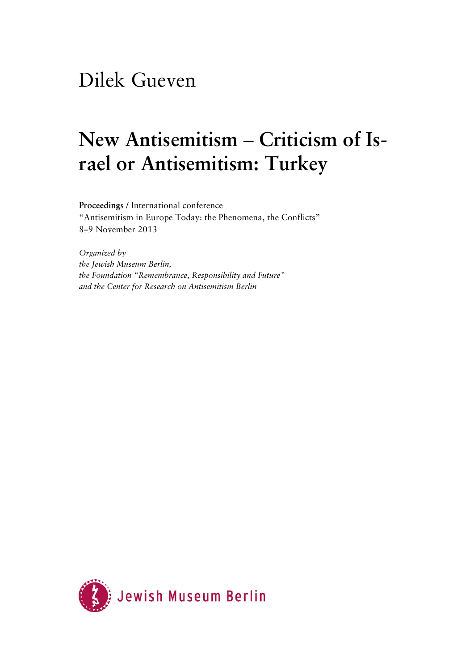## Dilek Gueven

# New Antisemitism – Criticism of Is**rael or Antisemitism: Turkey**

**Proceedings** / International conference "Antisemitism in Europe Today: the Phenomena, the Conflicts" 8–9 November 2013

*Organized by the Jewish Museum Berlin, the Foundation "Remembrance, Responsibility and Future" and the Center for Research on Antisemitism Berlin* 

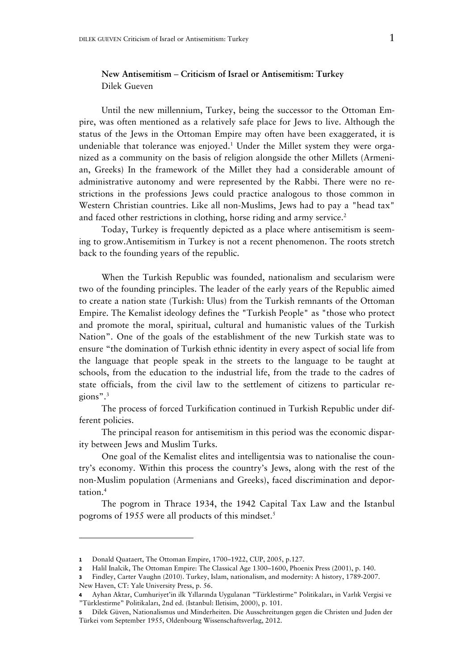#### **New Antisemitism ‒ Criticism of Israel or Antisemitism: Turkey**  Dilek Gueven

Until the new millennium, Turkey, being the successor to the Ottoman Empire, was often mentioned as a relatively safe place for Jews to live. Although the status of the Jews in the Ottoman Empire may often have been exaggerated, it is undeniable that tolerance was enjoyed.<sup>1</sup> Under the Millet system they were organized as a community on the basis of religion alongside the other Millets (Armenian, Greeks) In the framework of the Millet they had a considerable amount of administrative autonomy and were represented by the Rabbi. There were no restrictions in the professions Jews could practice analogous to those common in Western Christian countries. Like all non-Muslims, Jews had to pay a "head tax" and faced other restrictions in clothing, horse riding and army service.<sup>2</sup>

Today, Turkey is frequently depicted as a place where antisemitism is seeming to grow.Antisemitism in Turkey is not a recent phenomenon. The roots stretch back to the founding years of the republic.

When the Turkish Republic was founded, nationalism and secularism were two of the founding principles. The leader of the early years of the Republic aimed to create a nation state (Turkish: Ulus) from the Turkish remnants of the Ottoman Empire. The Kemalist ideology defines the "Turkish People" as "those who protect and promote the moral, spiritual, cultural and humanistic values of the Turkish Nation". One of the goals of the establishment of the new Turkish state was to ensure "the domination of Turkish ethnic identity in every aspect of social life from the language that people speak in the streets to the language to be taught at schools, from the education to the industrial life, from the trade to the cadres of state officials, from the civil law to the settlement of citizens to particular regions".3

The process of forced Turkification continued in Turkish Republic under different policies.

The principal reason for antisemitism in this period was the economic disparity between Jews and Muslim Turks.

One goal of the Kemalist elites and intelligentsia was to nationalise the country's economy. Within this process the country's Jews, along with the rest of the non-Muslim population (Armenians and Greeks), faced discrimination and deportation.4

The pogrom in Thrace 1934, the 1942 Capital Tax Law and the Istanbul pogroms of 1955 were all products of this mindset.<sup>5</sup>

New Haven, CT: Yale University Press, p. 56.

-

**<sup>1</sup>** Donald Quataert, The Ottoman Empire, 1700–1922, CUP, 2005, p.127.

**<sup>2</sup>** Halil Inalcik, The Ottoman Empire: The Classical Age 1300–1600, Phoenix Press (2001), p. 140.

**<sup>3</sup>** Findley, Carter Vaughn (2010). Turkey, Islam, nationalism, and modernity: A history, 1789-2007.

**<sup>4</sup>** Ayhan Aktar, Cumhuriyet'in ilk Yıllarında Uygulanan "Türklestirme" Politikaları, in Varlık Vergisi ve "Türklestirme" Politikaları, 2nd ed. (Istanbul: Iletisim, 2000), p. 101.

**<sup>5</sup>** Dilek Güven, Nationalismus und Minderheiten. Die Ausschreitungen gegen die Christen und Juden der Türkei vom September 1955, Oldenbourg Wissenschaftsverlag, 2012.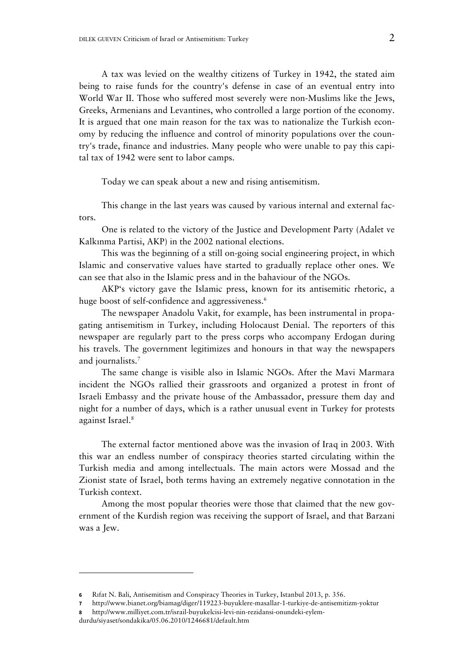A tax was levied on the wealthy citizens of Turkey in 1942, the stated aim being to raise funds for the country's defense in case of an eventual entry into World War II. Those who suffered most severely were non-Muslims like the Jews, Greeks, Armenians and Levantines, who controlled a large portion of the economy. It is argued that one main reason for the tax was to nationalize the Turkish economy by reducing the influence and control of minority populations over the country's trade, finance and industries. Many people who were unable to pay this capital tax of 1942 were sent to labor camps.

Today we can speak about a new and rising antisemitism.

This change in the last years was caused by various internal and external factors.

One is related to the victory of the Justice and Development Party (Adalet ve Kalkınma Partisi, AKP) in the 2002 national elections.

This was the beginning of a still on-going social engineering project, in which Islamic and conservative values have started to gradually replace other ones. We can see that also in the Islamic press and in the bahaviour of the NGOs.

AKP's victory gave the Islamic press, known for its antisemitic rhetoric, a huge boost of self-confidence and aggressiveness.<sup>6</sup>

The newspaper Anadolu Vakit, for example, has been instrumental in propagating antisemitism in Turkey, including Holocaust Denial. The reporters of this newspaper are regularly part to the press corps who accompany Erdogan during his travels. The government legitimizes and honours in that way the newspapers and journalists.7

The same change is visible also in Islamic NGOs. After the Mavi Marmara incident the NGOs rallied their grassroots and organized a protest in front of Israeli Embassy and the private house of the Ambassador, pressure them day and night for a number of days, which is a rather unusual event in Turkey for protests against Israel.8

The external factor mentioned above was the invasion of Iraq in 2003. With this war an endless number of conspiracy theories started circulating within the Turkish media and among intellectuals. The main actors were Mossad and the Zionist state of Israel, both terms having an extremely negative connotation in the Turkish context.

Among the most popular theories were those that claimed that the new government of the Kurdish region was receiving the support of Israel, and that Barzani was a Jew.

-

**<sup>6</sup>** Rıfat N. Bali, Antisemitism and Conspiracy Theories in Turkey, Istanbul 2013, p. 356.

**<sup>7</sup>** http://www.bianet.org/biamag/diger/119223-buyuklere-masallar-1-turkiye-de-antisemitizm-yoktur

**<sup>8</sup>** http://www.milliyet.com.tr/israil-buyukelcisi-levi-nin-rezidansi-onundeki-eylem-

durdu/siyaset/sondakika/05.06.2010/1246681/default.htm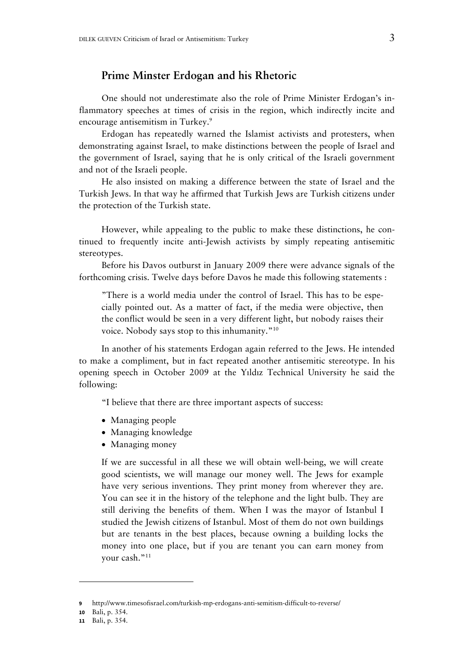#### **Prime Minster Erdogan and his Rhetoric**

One should not underestimate also the role of Prime Minister Erdogan's inflammatory speeches at times of crisis in the region, which indirectly incite and encourage antisemitism in Turkey.<sup>9</sup>

Erdogan has repeatedly warned the Islamist activists and protesters, when demonstrating against Israel, to make distinctions between the people of Israel and the government of Israel, saying that he is only critical of the Israeli government and not of the Israeli people.

He also insisted on making a difference between the state of Israel and the Turkish Jews. In that way he affirmed that Turkish Jews are Turkish citizens under the protection of the Turkish state.

However, while appealing to the public to make these distinctions, he continued to frequently incite anti-Jewish activists by simply repeating antisemitic stereotypes.

Before his Davos outburst in January 2009 there were advance signals of the forthcoming crisis. Twelve days before Davos he made this following statements :

"There is a world media under the control of Israel. This has to be especially pointed out. As a matter of fact, if the media were objective, then the conflict would be seen in a very different light, but nobody raises their voice. Nobody says stop to this inhumanity."10

In another of his statements Erdogan again referred to the Jews. He intended to make a compliment, but in fact repeated another antisemitic stereotype. In his opening speech in October 2009 at the Yıldız Technical University he said the following:

"I believe that there are three important aspects of success:

- Managing people
- Managing knowledge
- Managing money

If we are successful in all these we will obtain well-being, we will create good scientists, we will manage our money well. The Jews for example have very serious inventions. They print money from wherever they are. You can see it in the history of the telephone and the light bulb. They are still deriving the benefits of them. When I was the mayor of Istanbul I studied the Jewish citizens of Istanbul. Most of them do not own buildings but are tenants in the best places, because owning a building locks the money into one place, but if you are tenant you can earn money from your cash."<sup>11</sup>

**<sup>9</sup>** http://www.timesofisrael.com/turkish-mp-erdogans-anti-semitism-difficult-to-reverse/

**<sup>10</sup>** Bali, p. 354.

**<sup>11</sup>** Bali, p. 354.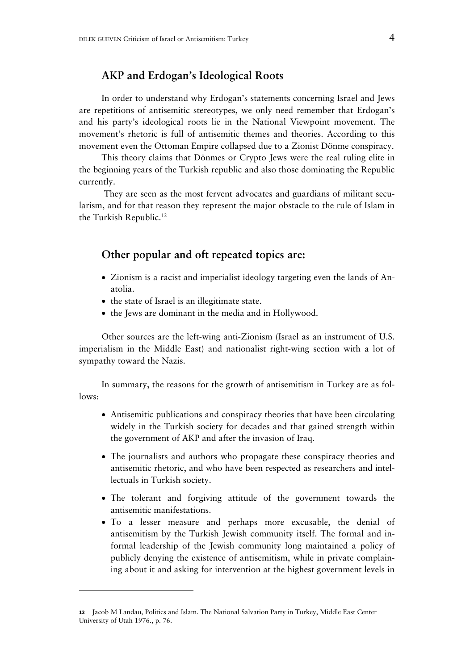### **AKP and Erdogan's Ideological Roots**

In order to understand why Erdogan's statements concerning Israel and Jews are repetitions of antisemitic stereotypes, we only need remember that Erdogan's and his party's ideological roots lie in the National Viewpoint movement. The movement's rhetoric is full of antisemitic themes and theories. According to this movement even the Ottoman Empire collapsed due to a Zionist Dönme conspiracy.

This theory claims that Dönmes or Crypto Jews were the real ruling elite in the beginning years of the Turkish republic and also those dominating the Republic currently.

 They are seen as the most fervent advocates and guardians of militant secularism, and for that reason they represent the major obstacle to the rule of Islam in the Turkish Republic.<sup>12</sup>

#### **Other popular and oft repeated topics are:**

- Zionism is a racist and imperialist ideology targeting even the lands of Anatolia.
- the state of Israel is an illegitimate state.
- the Jews are dominant in the media and in Hollywood.

Other sources are the left-wing anti-Zionism (Israel as an instrument of U.S. imperialism in the Middle East) and nationalist right-wing section with a lot of sympathy toward the Nazis.

In summary, the reasons for the growth of antisemitism in Turkey are as follows:

- Antisemitic publications and conspiracy theories that have been circulating widely in the Turkish society for decades and that gained strength within the government of AKP and after the invasion of Iraq.
- The journalists and authors who propagate these conspiracy theories and antisemitic rhetoric, and who have been respected as researchers and intellectuals in Turkish society.
- The tolerant and forgiving attitude of the government towards the antisemitic manifestations.
- To a lesser measure and perhaps more excusable, the denial of antisemitism by the Turkish Jewish community itself. The formal and informal leadership of the Jewish community long maintained a policy of publicly denying the existence of antisemitism, while in private complaining about it and asking for intervention at the highest government levels in

-

**<sup>12</sup>** Jacob M Landau, Politics and Islam. The National Salvation Party in Turkey, Middle East Center University of Utah 1976., p. 76.